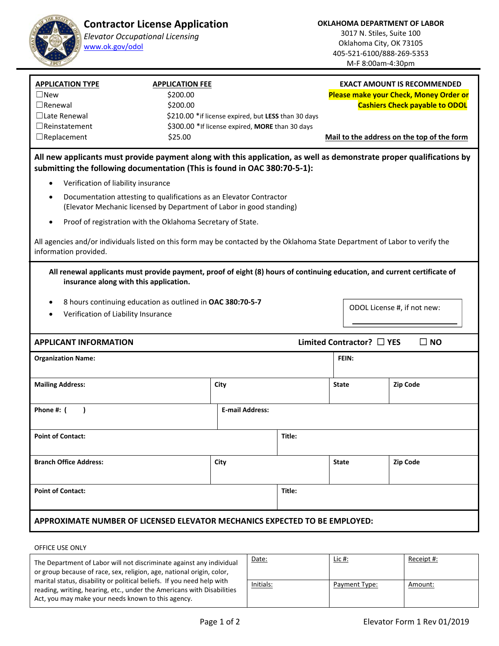

3017 N. Stiles, Suite 100 Oklahoma City, OK 73105 405‐521‐6100/888‐269‐5353 M‐F 8:00am‐4:30pm

| <b>APPLICATION TYPE</b><br>$\Box$ New<br>$\Box$ Renewal<br>$\Box$ Late Renewal<br>$\Box$ Reinstatement                                                                                            | <b>APPLICATION FEE</b><br>\$200.00<br>\$200.00<br>\$210.00 * if license expired, but LESS than 30 days<br>\$300.00 * If license expired, <b>MORE</b> than 30 days | <b>EXACT AMOUNT IS RECOMMENDED</b><br><b>Please make your Check, Money Order or</b><br><b>Cashiers Check payable to ODOL</b> |  |  |  |  |  |  |
|---------------------------------------------------------------------------------------------------------------------------------------------------------------------------------------------------|-------------------------------------------------------------------------------------------------------------------------------------------------------------------|------------------------------------------------------------------------------------------------------------------------------|--|--|--|--|--|--|
| $\Box$ Replacement                                                                                                                                                                                | \$25.00                                                                                                                                                           | Mail to the address on the top of the form                                                                                   |  |  |  |  |  |  |
| All new applicants must provide payment along with this application, as well as demonstrate proper qualifications by<br>submitting the following documentation (This is found in OAC 380:70-5-1): |                                                                                                                                                                   |                                                                                                                              |  |  |  |  |  |  |
| Verification of liability insurance<br>$\bullet$                                                                                                                                                  |                                                                                                                                                                   |                                                                                                                              |  |  |  |  |  |  |
| $\bullet$                                                                                                                                                                                         | Documentation attesting to qualifications as an Elevator Contractor<br>(Elevator Mechanic licensed by Department of Labor in good standing)                       |                                                                                                                              |  |  |  |  |  |  |
| $\bullet$                                                                                                                                                                                         | Proof of registration with the Oklahoma Secretary of State.                                                                                                       |                                                                                                                              |  |  |  |  |  |  |
| information provided.                                                                                                                                                                             | All agencies and/or individuals listed on this form may be contacted by the Oklahoma State Department of Labor to verify the                                      |                                                                                                                              |  |  |  |  |  |  |

**All renewal applicants must provide payment, proof of eight (8) hours of continuing education, and current certificate of insurance along with this application.** 

- 8 hours continuing education as outlined in **OAC 380:70‐5‐7**
- Verification of Liability Insurance

| ODOL License #, if not new: |  |
|-----------------------------|--|
|-----------------------------|--|

## **APPLICANT INFORMATION Limited Contractor?** ☐ **YES** ☐ **NO Organization Name: FEIN:**  Mailing Address: **Community City City State Zip Code Zip Code Zip Code Zip Code Zip Code Phone #: ( )** <br>Phone #: ( ) <br>**E**-mail Address: **Point of Contact: Title: Point of Contact: Branch Office Address: City State Zip Code Point of Contact: Title: APPROXIMATE NUMBER OF LICENSED ELEVATOR MECHANICS EXPECTED TO BE EMPLOYED:**

## OFFICE USE ONLY

| The Department of Labor will not discriminate against any individual<br>or group because of race, sex, religion, age, national origin, color,                                                          | Date:     | <u>Lic #:</u> | Receipt #: |
|--------------------------------------------------------------------------------------------------------------------------------------------------------------------------------------------------------|-----------|---------------|------------|
| marital status, disability or political beliefs. If you need help with<br>reading, writing, hearing, etc., under the Americans with Disabilities<br>Act, you may make your needs known to this agency. | Initials: | Payment Type: | Amount:    |